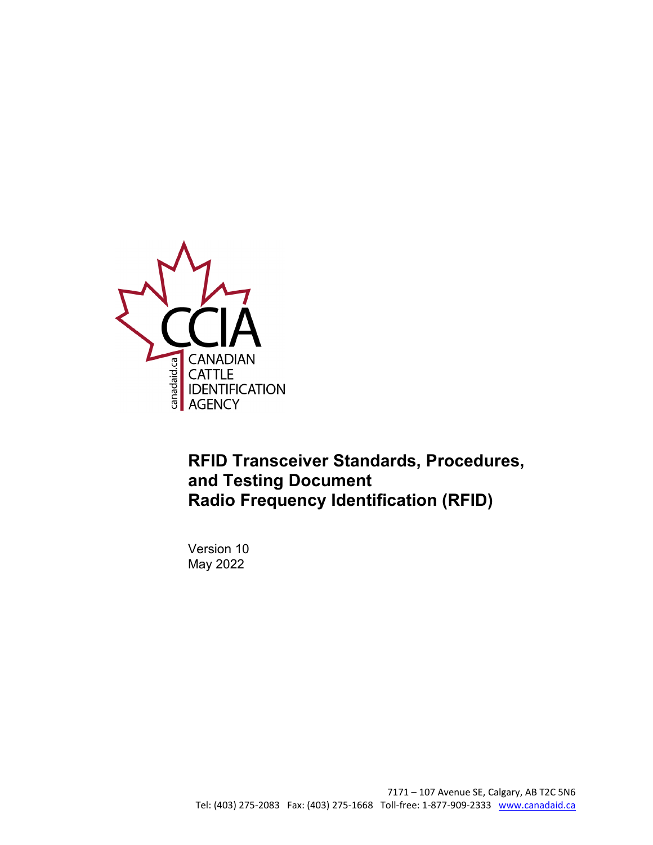

### **RFID Transceiver Standards, Procedures, and Testing Document Radio Frequency Identification (RFID)**

Version 10 May 2022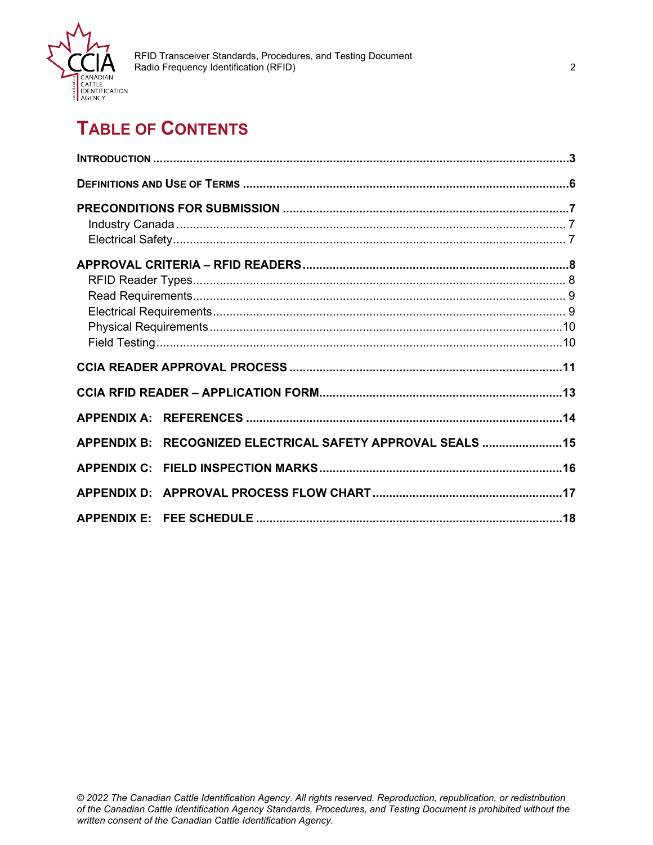

### **TABLE OF CONTENTS**

|  | APPENDIX B: RECOGNIZED ELECTRICAL SAFETY APPROVAL SEALS  15 |  |
|--|-------------------------------------------------------------|--|
|  |                                                             |  |
|  |                                                             |  |
|  |                                                             |  |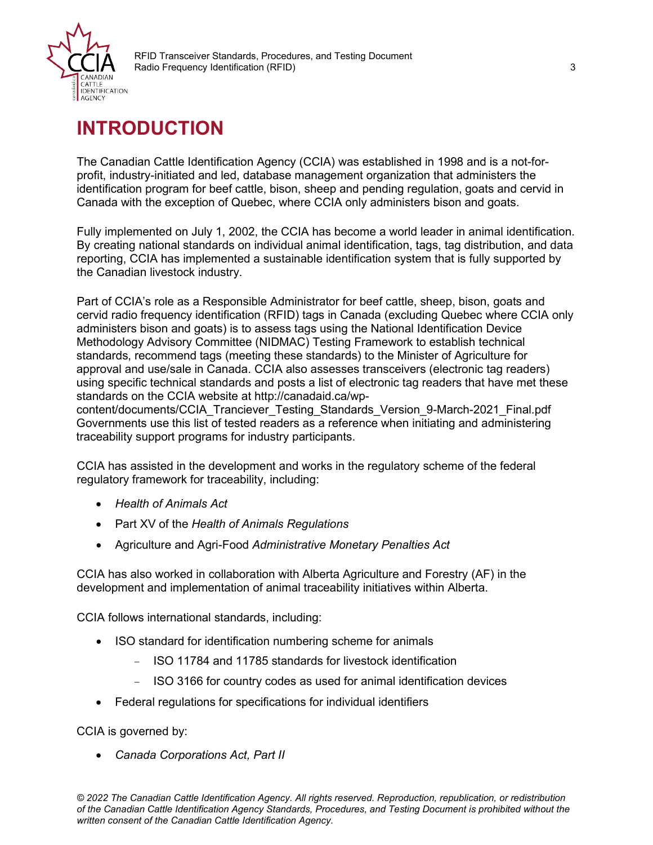

### <span id="page-2-0"></span>**INTRODUCTION**

The Canadian Cattle Identification Agency (CCIA) was established in 1998 and is a not-forprofit, industry-initiated and led, database management organization that administers the identification program for beef cattle, bison, sheep and pending regulation, goats and cervid in Canada with the exception of Quebec, where CCIA only administers bison and goats.

Fully implemented on July 1, 2002, the CCIA has become a world leader in animal identification. By creating national standards on individual animal identification, tags, tag distribution, and data reporting, CCIA has implemented a sustainable identification system that is fully supported by the Canadian livestock industry.

Part of CCIA's role as a Responsible Administrator for beef cattle, sheep, bison, goats and cervid radio frequency identification (RFID) tags in Canada (excluding Quebec where CCIA only administers bison and goats) is to assess tags using the National Identification Device Methodology Advisory Committee (NIDMAC) Testing Framework to establish technical standards, recommend tags (meeting these standards) to the Minister of Agriculture for approval and use/sale in Canada. CCIA also assesses transceivers (electronic tag readers) using specific technical standards and posts a list of electronic tag readers that have met these standards on the CCIA website at http://canadaid.ca/wp-

content/documents/CCIA Tranciever Testing Standards Version 9-March-2021 Final.pdf Governments use this list of tested readers as a reference when initiating and administering traceability support programs for industry participants.

CCIA has assisted in the development and works in the regulatory scheme of the federal regulatory framework for traceability, including:

- *Health of Animals Act*
- Part XV of the *Health of Animals Regulations*
- Agriculture and Agri-Food *Administrative Monetary Penalties Act*

CCIA has also worked in collaboration with Alberta Agriculture and Forestry (AF) in the development and implementation of animal traceability initiatives within Alberta.

CCIA follows international standards, including:

- ISO standard for identification numbering scheme for animals
	- − ISO 11784 and 11785 standards for livestock identification
	- − ISO 3166 for country codes as used for animal identification devices
- Federal regulations for specifications for individual identifiers

CCIA is governed by:

• *Canada Corporations Act, Part II*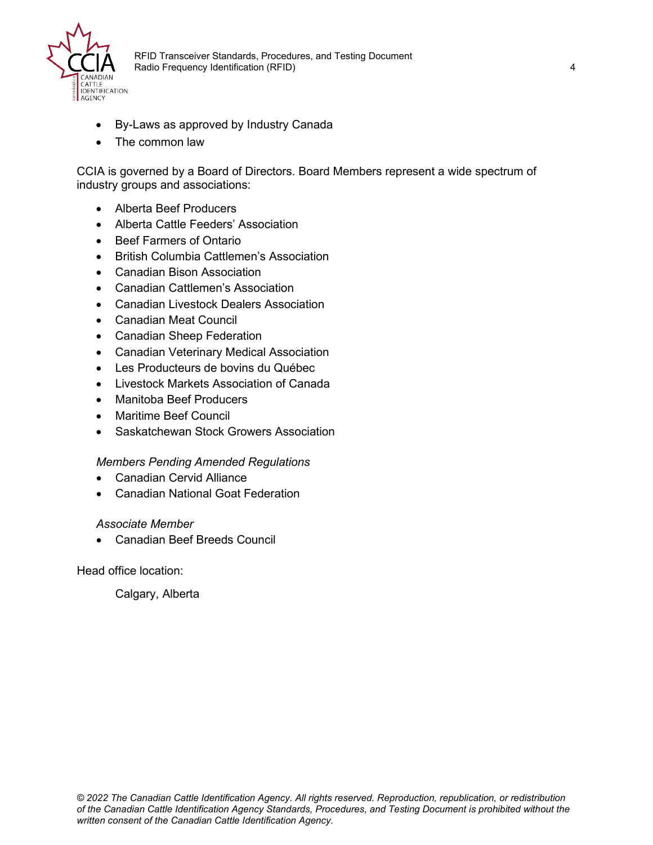

- By-Laws as approved by Industry Canada
- The common law

CCIA is governed by a Board of Directors. Board Members represent a wide spectrum of industry groups and associations:

- Alberta Beef Producers
- Alberta Cattle Feeders' Association
- Beef Farmers of Ontario
- British Columbia Cattlemen's Association
- Canadian Bison Association
- Canadian Cattlemen's Association
- Canadian Livestock Dealers Association
- Canadian Meat Council
- Canadian Sheep Federation
- Canadian Veterinary Medical Association
- Les Producteurs de bovins du Québec
- Livestock Markets Association of Canada
- Manitoba Beef Producers
- Maritime Beef Council
- Saskatchewan Stock Growers Association

#### *Members Pending Amended Regulations*

- Canadian Cervid Alliance
- Canadian National Goat Federation

#### *Associate Member*

• Canadian Beef Breeds Council

Head office location:

Calgary, Alberta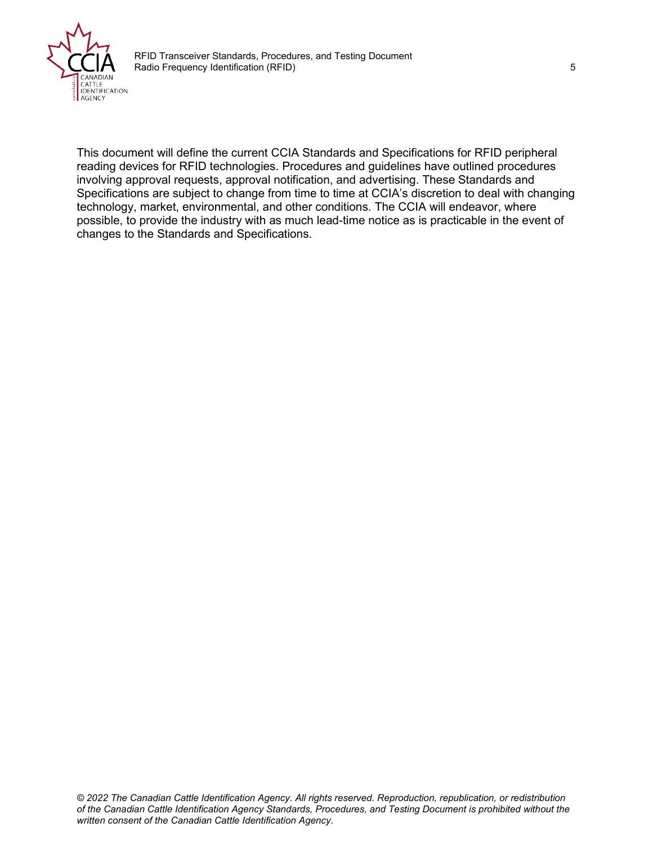

This document will define the current CCIA Standards and Specifications for RFID peripheral reading devices for RFID technologies. Procedures and guidelines have outlined procedures involving approval requests, approval notification, and advertising. These Standards and Specifications are subject to change from time to time at CCIA's discretion to deal with changing technology, market, environmental, and other conditions. The CCIA will endeavor, where possible, to provide the industry with as much lead-time notice as is practicable in the event of changes to the Standards and Specifications.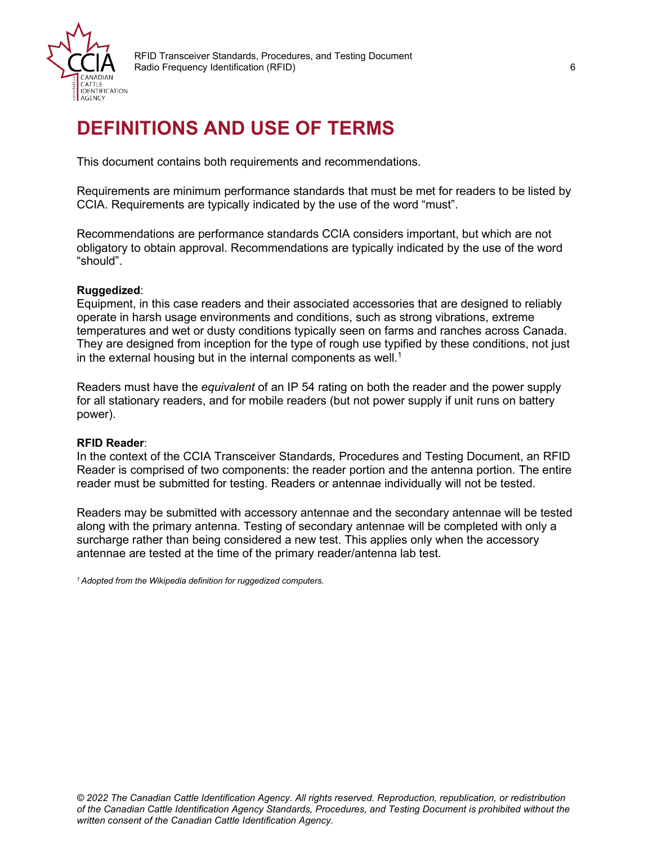

## <span id="page-5-0"></span>**DEFINITIONS AND USE OF TERMS**

This document contains both requirements and recommendations.

Requirements are minimum performance standards that must be met for readers to be listed by CCIA. Requirements are typically indicated by the use of the word "must".

Recommendations are performance standards CCIA considers important, but which are not obligatory to obtain approval. Recommendations are typically indicated by the use of the word "should".

#### **Ruggedized**:

Equipment, in this case readers and their associated accessories that are designed to reliably operate in harsh usage environments and conditions, such as strong vibrations, extreme temperatures and wet or dusty conditions typically seen on farms and ranches across Canada. They are designed from inception for the type of rough use typified by these conditions, not just in the external housing but in the internal components as well. $^{\rm 1}$ 

Readers must have the *equivalent* of an IP 54 rating on both the reader and the power supply for all stationary readers, and for mobile readers (but not power supply if unit runs on battery power).

#### **RFID Reader**:

In the context of the CCIA Transceiver Standards, Procedures and Testing Document, an RFID Reader is comprised of two components: the reader portion and the antenna portion. The entire reader must be submitted for testing. Readers or antennae individually will not be tested.

Readers may be submitted with accessory antennae and the secondary antennae will be tested along with the primary antenna. Testing of secondary antennae will be completed with only a surcharge rather than being considered a new test. This applies only when the accessory antennae are tested at the time of the primary reader/antenna lab test.

*<sup>1</sup> Adopted from the Wikipedia definition for ruggedized computers.*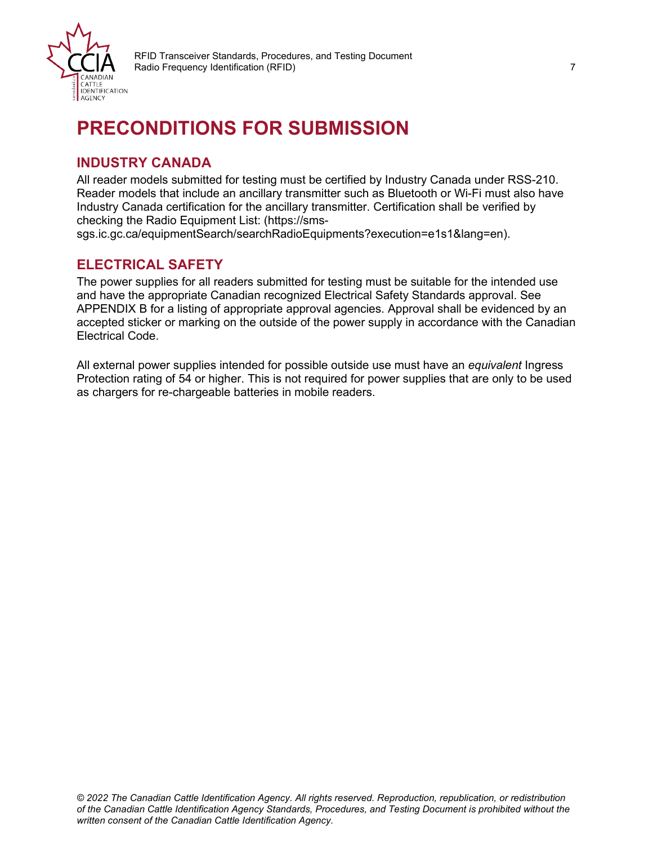

## <span id="page-6-0"></span>**PRECONDITIONS FOR SUBMISSION**

### <span id="page-6-1"></span>**INDUSTRY CANADA**

All reader models submitted for testing must be certified by Industry Canada under RSS-210. Reader models that include an ancillary transmitter such as Bluetooth or Wi-Fi must also have Industry Canada certification for the ancillary transmitter. Certification shall be verified by checking the Radio Equipment List: (https://sms-

sgs.ic.gc.ca/equipmentSearch/searchRadioEquipments?execution=e1s1&lang=en).

### <span id="page-6-2"></span>**ELECTRICAL SAFETY**

The power supplies for all readers submitted for testing must be suitable for the intended use and have the appropriate Canadian recognized Electrical Safety Standards approval. See APPENDIX B for a listing of appropriate approval agencies. Approval shall be evidenced by an accepted sticker or marking on the outside of the power supply in accordance with the Canadian Electrical Code.

All external power supplies intended for possible outside use must have an *equivalent* Ingress Protection rating of 54 or higher. This is not required for power supplies that are only to be used as chargers for re-chargeable batteries in mobile readers.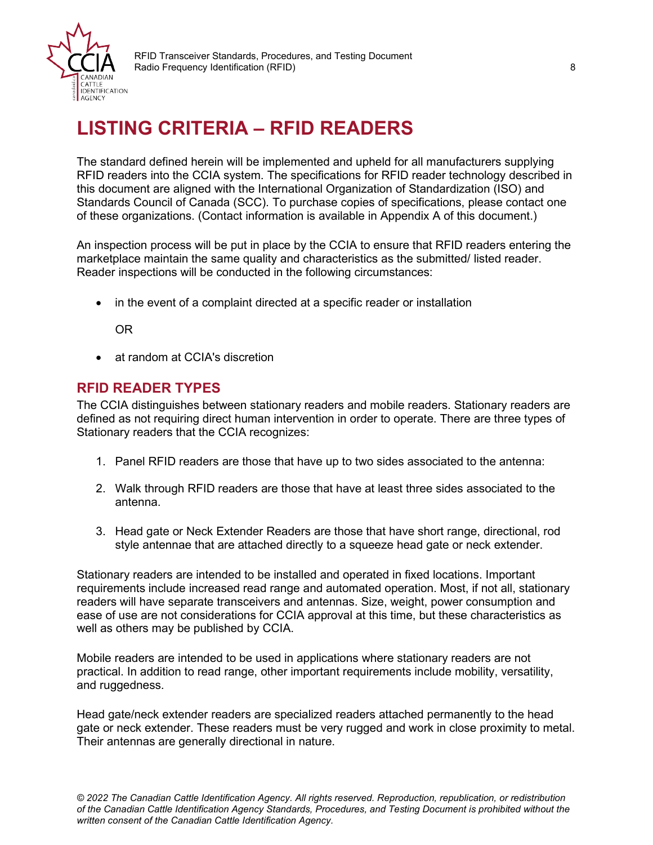

## <span id="page-7-0"></span>**LISTING CRITERIA – RFID READERS**

The standard defined herein will be implemented and upheld for all manufacturers supplying RFID readers into the CCIA system. The specifications for RFID reader technology described in this document are aligned with the International Organization of Standardization (ISO) and Standards Council of Canada (SCC). To purchase copies of specifications, please contact one of these organizations. (Contact information is available in Appendix A of this document.)

An inspection process will be put in place by the CCIA to ensure that RFID readers entering the marketplace maintain the same quality and characteristics as the submitted/ listed reader. Reader inspections will be conducted in the following circumstances:

• in the event of a complaint directed at a specific reader or installation

OR

• at random at CCIA's discretion

### <span id="page-7-1"></span>**RFID READER TYPES**

The CCIA distinguishes between stationary readers and mobile readers. Stationary readers are defined as not requiring direct human intervention in order to operate. There are three types of Stationary readers that the CCIA recognizes:

- 1. Panel RFID readers are those that have up to two sides associated to the antenna:
- 2. Walk through RFID readers are those that have at least three sides associated to the antenna.
- 3. Head gate or Neck Extender Readers are those that have short range, directional, rod style antennae that are attached directly to a squeeze head gate or neck extender.

Stationary readers are intended to be installed and operated in fixed locations. Important requirements include increased read range and automated operation. Most, if not all, stationary readers will have separate transceivers and antennas. Size, weight, power consumption and ease of use are not considerations for CCIA approval at this time, but these characteristics as well as others may be published by CCIA.

Mobile readers are intended to be used in applications where stationary readers are not practical. In addition to read range, other important requirements include mobility, versatility, and ruggedness.

Head gate/neck extender readers are specialized readers attached permanently to the head gate or neck extender. These readers must be very rugged and work in close proximity to metal. Their antennas are generally directional in nature.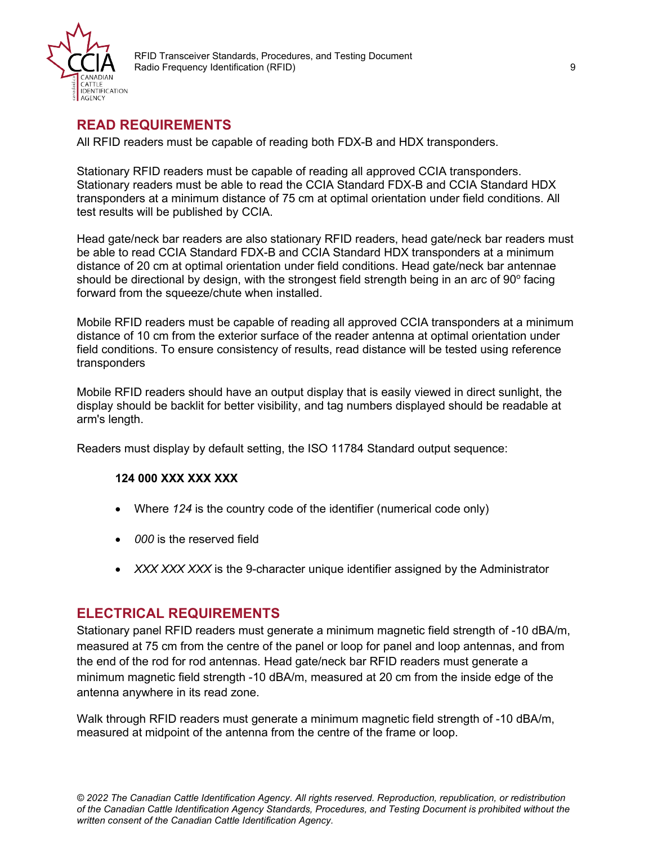

### <span id="page-8-0"></span>**READ REQUIREMENTS**

All RFID readers must be capable of reading both FDX-B and HDX transponders.

Stationary RFID readers must be capable of reading all approved CCIA transponders. Stationary readers must be able to read the CCIA Standard FDX-B and CCIA Standard HDX transponders at a minimum distance of 75 cm at optimal orientation under field conditions. All test results will be published by CCIA.

Head gate/neck bar readers are also stationary RFID readers, head gate/neck bar readers must be able to read CCIA Standard FDX-B and CCIA Standard HDX transponders at a minimum distance of 20 cm at optimal orientation under field conditions. Head gate/neck bar antennae should be directional by design, with the strongest field strength being in an arc of  $90^{\circ}$  facing forward from the squeeze/chute when installed.

Mobile RFID readers must be capable of reading all approved CCIA transponders at a minimum distance of 10 cm from the exterior surface of the reader antenna at optimal orientation under field conditions. To ensure consistency of results, read distance will be tested using reference transponders

Mobile RFID readers should have an output display that is easily viewed in direct sunlight, the display should be backlit for better visibility, and tag numbers displayed should be readable at arm's length.

Readers must display by default setting, the ISO 11784 Standard output sequence:

#### **124 000 XXX XXX XXX**

- Where *124* is the country code of the identifier (numerical code only)
- *000* is the reserved field
- *XXX XXX XXX* is the 9-character unique identifier assigned by the Administrator

### <span id="page-8-1"></span>**ELECTRICAL REQUIREMENTS**

Stationary panel RFID readers must generate a minimum magnetic field strength of -10 dBA/m, measured at 75 cm from the centre of the panel or loop for panel and loop antennas, and from the end of the rod for rod antennas. Head gate/neck bar RFID readers must generate a minimum magnetic field strength -10 dBA/m, measured at 20 cm from the inside edge of the antenna anywhere in its read zone.

Walk through RFID readers must generate a minimum magnetic field strength of -10 dBA/m, measured at midpoint of the antenna from the centre of the frame or loop.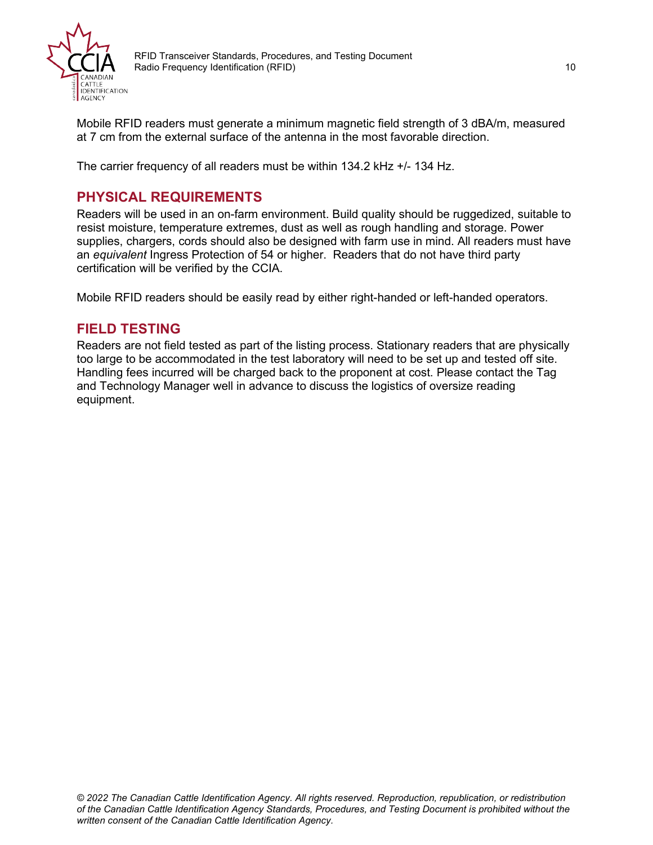

Mobile RFID readers must generate a minimum magnetic field strength of 3 dBA/m, measured at 7 cm from the external surface of the antenna in the most favorable direction.

The carrier frequency of all readers must be within 134.2 kHz +/- 134 Hz.

### <span id="page-9-0"></span>**PHYSICAL REQUIREMENTS**

Readers will be used in an on-farm environment. Build quality should be ruggedized, suitable to resist moisture, temperature extremes, dust as well as rough handling and storage. Power supplies, chargers, cords should also be designed with farm use in mind. All readers must have an *equivalent* Ingress Protection of 54 or higher. Readers that do not have third party certification will be verified by the CCIA.

Mobile RFID readers should be easily read by either right-handed or left-handed operators.

### <span id="page-9-1"></span>**FIELD TESTING**

Readers are not field tested as part of the listing process. Stationary readers that are physically too large to be accommodated in the test laboratory will need to be set up and tested off site. Handling fees incurred will be charged back to the proponent at cost. Please contact the Tag and Technology Manager well in advance to discuss the logistics of oversize reading equipment.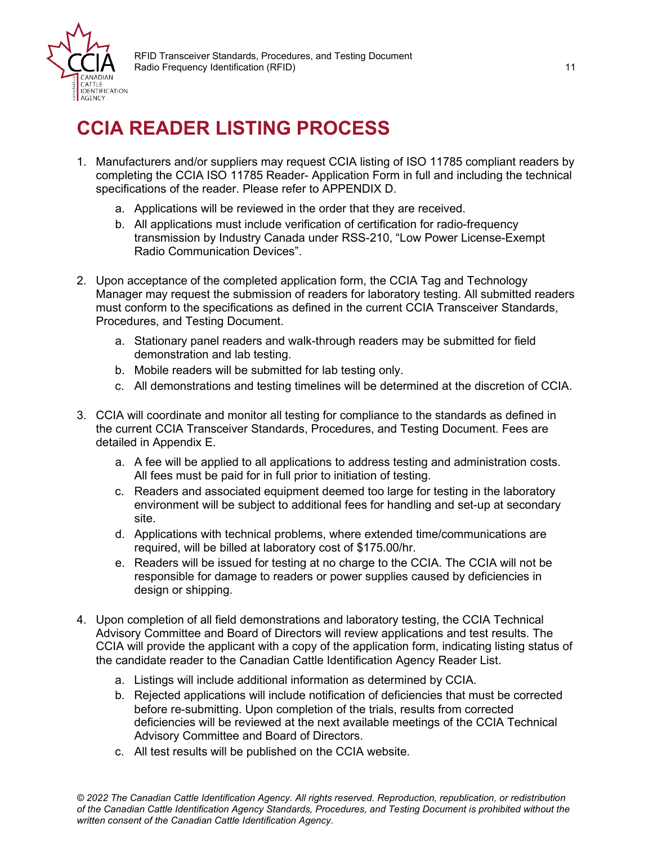

## <span id="page-10-0"></span>**CCIA READER LISTING PROCESS**

- 1. Manufacturers and/or suppliers may request CCIA listing of ISO 11785 compliant readers by completing the CCIA ISO 11785 Reader- Application Form in full and including the technical specifications of the reader. Please refer to APPENDIX D.
	- a. Applications will be reviewed in the order that they are received.
	- b. All applications must include verification of certification for radio-frequency transmission by Industry Canada under RSS-210, "Low Power License-Exempt Radio Communication Devices".
- 2. Upon acceptance of the completed application form, the CCIA Tag and Technology Manager may request the submission of readers for laboratory testing. All submitted readers must conform to the specifications as defined in the current CCIA Transceiver Standards, Procedures, and Testing Document.
	- a. Stationary panel readers and walk-through readers may be submitted for field demonstration and lab testing.
	- b. Mobile readers will be submitted for lab testing only.
	- c. All demonstrations and testing timelines will be determined at the discretion of CCIA.
- 3. CCIA will coordinate and monitor all testing for compliance to the standards as defined in the current CCIA Transceiver Standards, Procedures, and Testing Document. Fees are detailed in Appendix E.
	- a. A fee will be applied to all applications to address testing and administration costs. All fees must be paid for in full prior to initiation of testing.
	- c. Readers and associated equipment deemed too large for testing in the laboratory environment will be subject to additional fees for handling and set-up at secondary site.
	- d. Applications with technical problems, where extended time/communications are required, will be billed at laboratory cost of \$175.00/hr.
	- e. Readers will be issued for testing at no charge to the CCIA. The CCIA will not be responsible for damage to readers or power supplies caused by deficiencies in design or shipping.
- 4. Upon completion of all field demonstrations and laboratory testing, the CCIA Technical Advisory Committee and Board of Directors will review applications and test results. The CCIA will provide the applicant with a copy of the application form, indicating listing status of the candidate reader to the Canadian Cattle Identification Agency Reader List.
	- a. Listings will include additional information as determined by CCIA.
	- b. Rejected applications will include notification of deficiencies that must be corrected before re-submitting. Upon completion of the trials, results from corrected deficiencies will be reviewed at the next available meetings of the CCIA Technical Advisory Committee and Board of Directors.
	- c. All test results will be published on the CCIA website.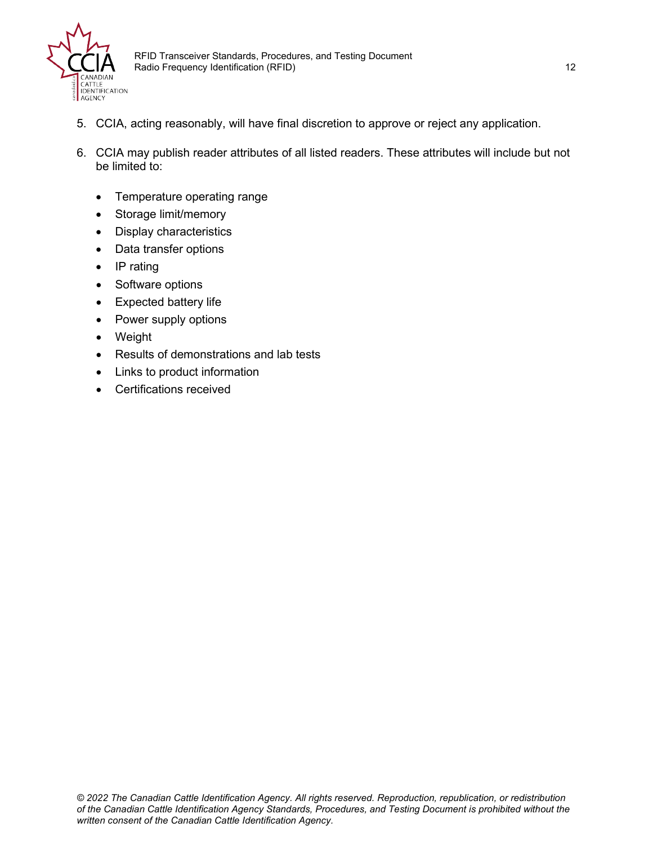

- 5. CCIA, acting reasonably, will have final discretion to approve or reject any application.
- 6. CCIA may publish reader attributes of all listed readers. These attributes will include but not be limited to:
	- Temperature operating range
	- Storage limit/memory
	- Display characteristics
	- Data transfer options
	- IP rating
	- Software options
	- Expected battery life
	- Power supply options
	- Weight
	- Results of demonstrations and lab tests
	- Links to product information
	- Certifications received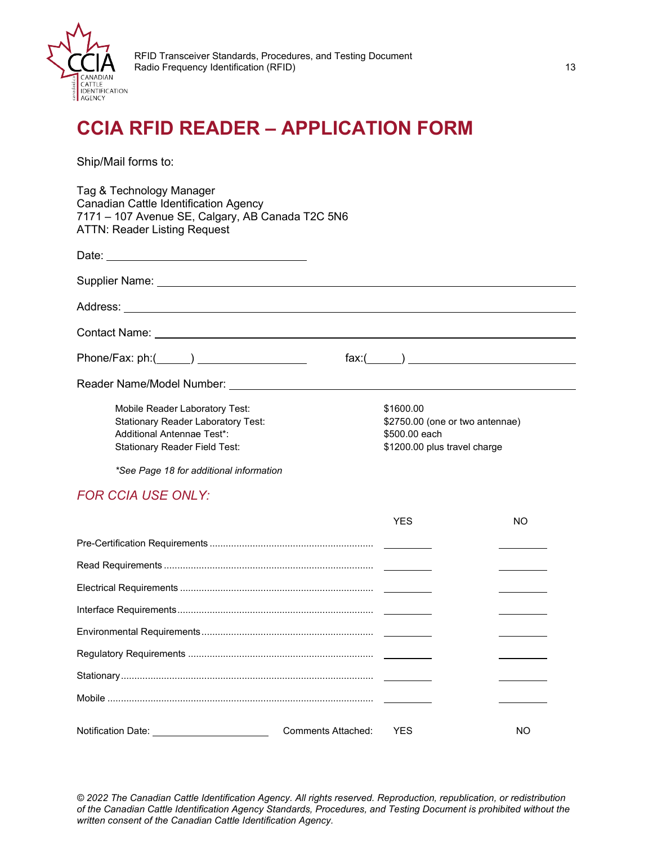

## <span id="page-12-0"></span>**CCIA RFID READER – APPLICATION FORM**

Ship/Mail forms to:

Tag & Technology Manager Canadian Cattle Identification Agency 7171 – 107 Avenue SE, Calgary, AB Canada T2C 5N6 ATTN: Reader Listing Request

|                                           | $\text{fax:}(\_\_\_\_)$         |
|-------------------------------------------|---------------------------------|
|                                           |                                 |
| Mobile Reader Laboratory Test:            | \$1600.00                       |
| <b>Stationary Reader Laboratory Test:</b> | \$2750.00 (one or two antennae) |
| Additional Antennae Test*:                | \$500.00 each                   |
| <b>Stationary Reader Field Test:</b>      | \$1200.00 plus travel charge    |
|                                           |                                 |

*\*See Page 18 for additional information*

#### *FOR CCIA USE ONLY:*

|                                                |                        | YFS. | NO. |
|------------------------------------------------|------------------------|------|-----|
|                                                |                        |      |     |
|                                                |                        |      |     |
|                                                |                        |      |     |
|                                                |                        |      |     |
|                                                |                        |      |     |
|                                                |                        |      |     |
|                                                |                        |      |     |
|                                                |                        |      |     |
| Notification Date: ___________________________ | Comments Attached: YES |      | NO. |

*© 2022 The Canadian Cattle Identification Agency. All rights reserved. Reproduction, republication, or redistribution of the Canadian Cattle Identification Agency Standards, Procedures, and Testing Document is prohibited without the written consent of the Canadian Cattle Identification Agency.*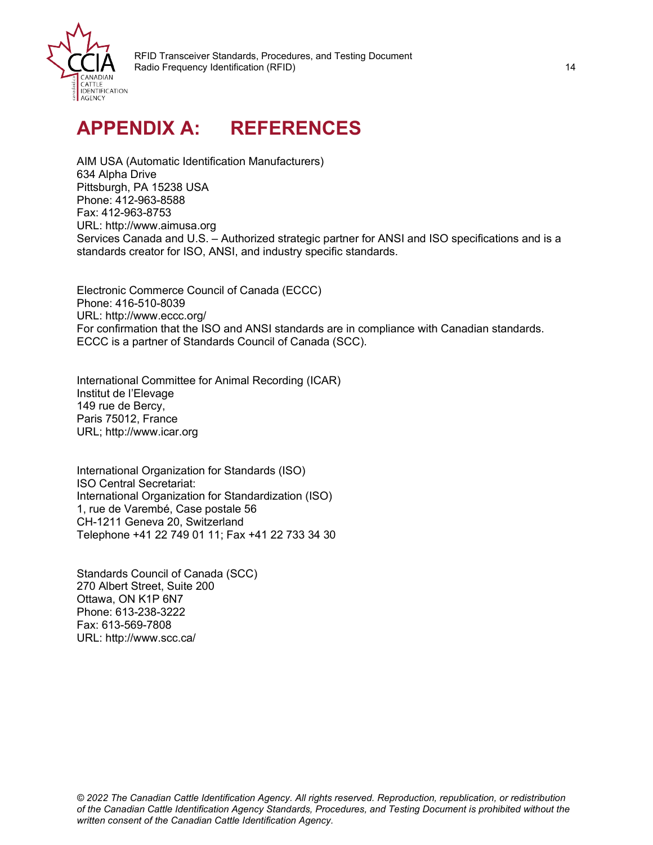

## <span id="page-13-0"></span>**APPENDIX A: REFERENCES**

AIM USA (Automatic Identification Manufacturers) 634 Alpha Drive Pittsburgh, PA 15238 USA Phone: 412-963-8588 Fax: 412-963-8753 URL: http://www.aimusa.org Services Canada and U.S. – Authorized strategic partner for ANSI and ISO specifications and is a standards creator for ISO, ANSI, and industry specific standards.

Electronic Commerce Council of Canada (ECCC) Phone: 416-510-8039 URL: http://www.eccc.org/ For confirmation that the ISO and ANSI standards are in compliance with Canadian standards. ECCC is a partner of Standards Council of Canada (SCC).

International Committee for Animal Recording (ICAR) Institut de l'Elevage 149 rue de Bercy, Paris 75012, France URL; http://www.icar.org

International Organization for Standards (ISO) ISO Central Secretariat: International Organization for Standardization (ISO) 1, rue de Varembé, Case postale 56 CH-1211 Geneva 20, Switzerland Telephone +41 22 749 01 11; Fax +41 22 733 34 30

Standards Council of Canada (SCC) 270 Albert Street, Suite 200 Ottawa, ON K1P 6N7 Phone: 613-238-3222 Fax: 613-569-7808 URL: http://www.scc.ca/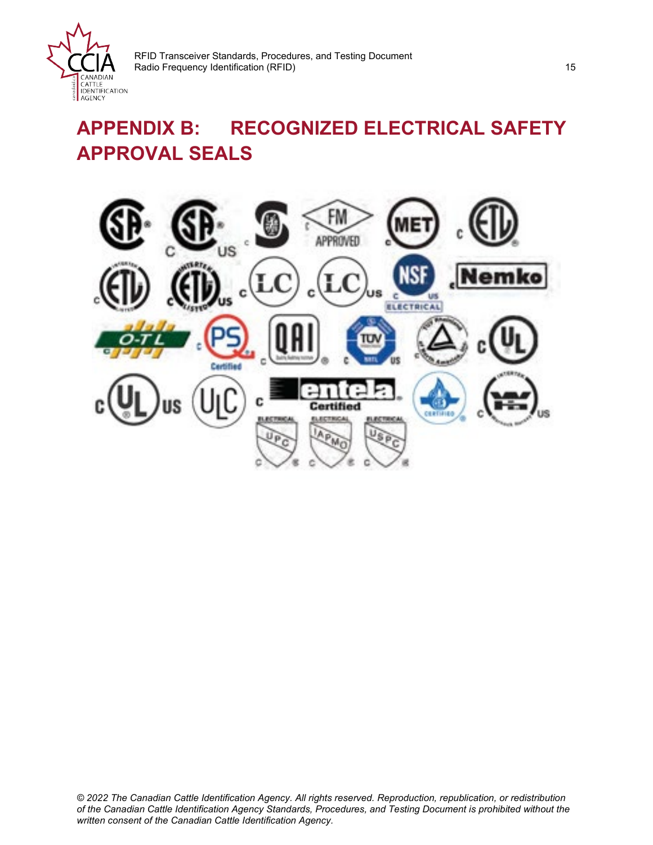

## <span id="page-14-0"></span>**APPENDIX B: RECOGNIZED ELECTRICAL SAFETY APPROVAL SEALS**

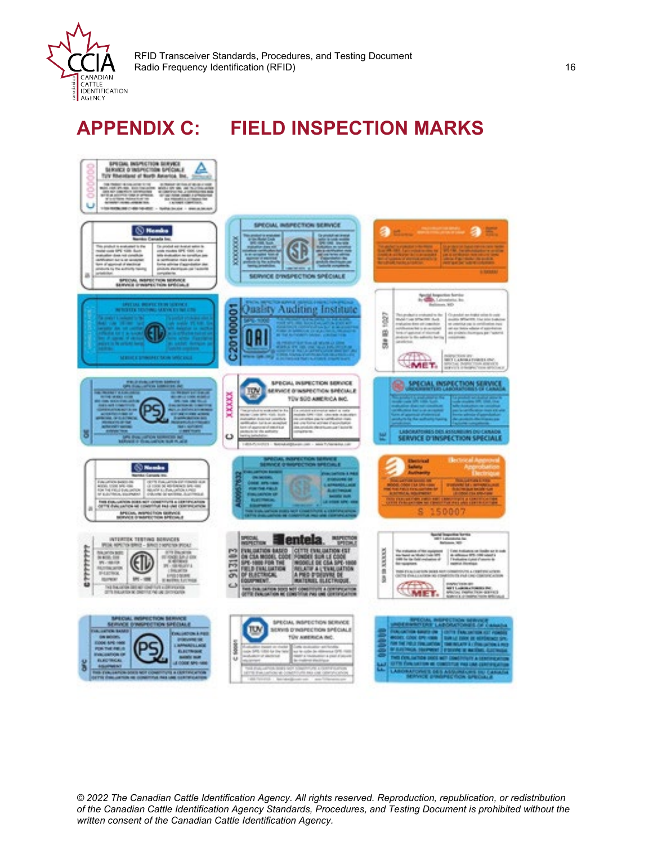

## <span id="page-15-0"></span>**APPENDIX C: FIELD INSPECTION MARKS**



*© 2022 The Canadian Cattle Identification Agency. All rights reserved. Reproduction, republication, or redistribution of the Canadian Cattle Identification Agency Standards, Procedures, and Testing Document is prohibited without the written consent of the Canadian Cattle Identification Agency.*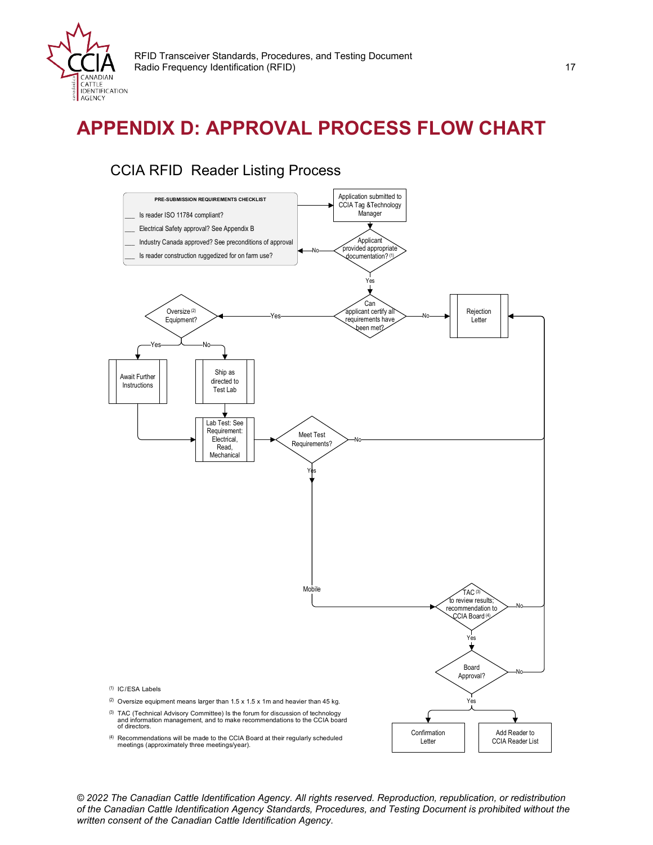

## <span id="page-16-0"></span>**APPENDIX D: APPROVAL PROCESS FLOW CHART**

### CCIA RFID Reader Listing Process



*© 2022 The Canadian Cattle Identification Agency. All rights reserved. Reproduction, republication, or redistribution of the Canadian Cattle Identification Agency Standards, Procedures, and Testing Document is prohibited without the written consent of the Canadian Cattle Identification Agency.*